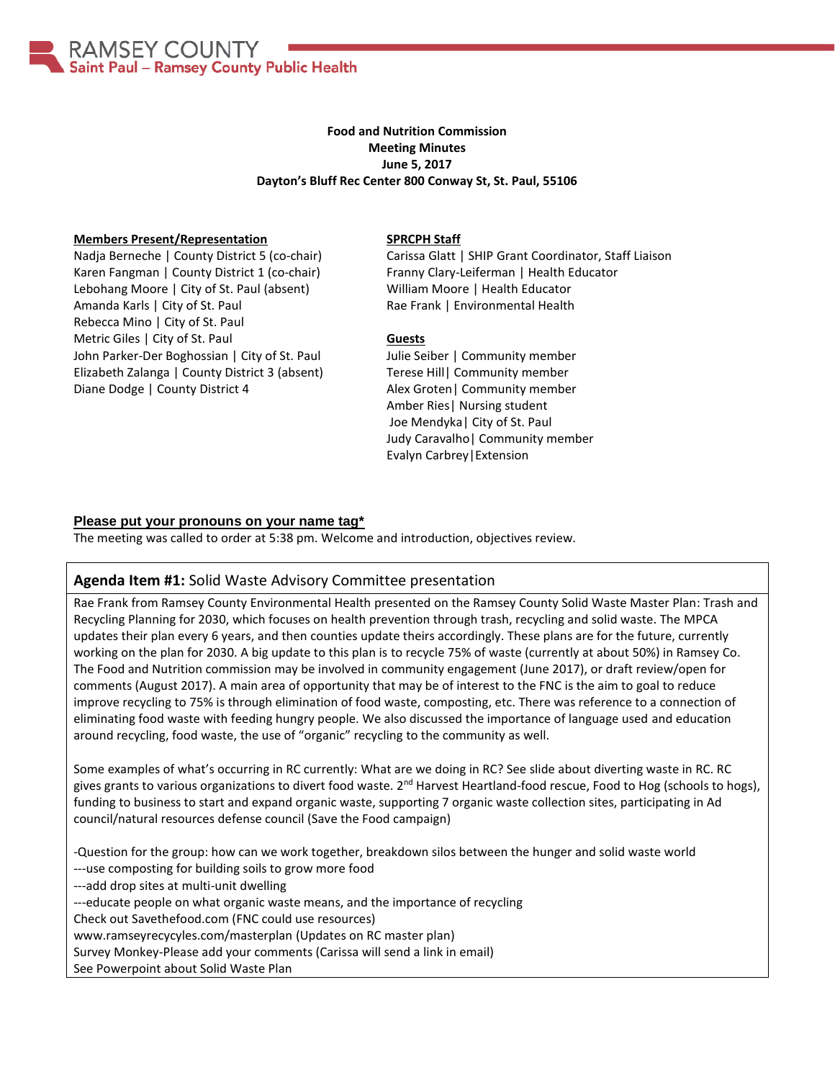AMSEY COUNTY Saint Paul - Ramsey County Public Health

# **Food and Nutrition Commission Meeting Minutes June 5, 2017 Dayton's Bluff Rec Center 800 Conway St, St. Paul, 55106**

### **Members Present/Representation**

Nadja Berneche | County District 5 (co-chair) Karen Fangman | County District 1 (co-chair) Lebohang Moore | City of St. Paul (absent) Amanda Karls | City of St. Paul Rebecca Mino | City of St. Paul Metric Giles | City of St. Paul John Parker-Der Boghossian | City of St. Paul Elizabeth Zalanga | County District 3 (absent) Diane Dodge | County District 4

#### **SPRCPH Staff**

Carissa Glatt | SHIP Grant Coordinator, Staff Liaison Franny Clary-Leiferman | Health Educator William Moore | Health Educator Rae Frank | Environmental Health

#### **Guests**

Julie Seiber | Community member Terese Hill| Community member Alex Groten| Community member Amber Ries| Nursing student Joe Mendyka| City of St. Paul Judy Caravalho| Community member Evalyn Carbrey|Extension

### **Please put your pronouns on your name tag\***

The meeting was called to order at 5:38 pm. Welcome and introduction, objectives review.

## **Agenda Item #1:** Solid Waste Advisory Committee presentation

Rae Frank from Ramsey County Environmental Health presented on the Ramsey County Solid Waste Master Plan: Trash and Recycling Planning for 2030, which focuses on health prevention through trash, recycling and solid waste. The MPCA updates their plan every 6 years, and then counties update theirs accordingly. These plans are for the future, currently working on the plan for 2030. A big update to this plan is to recycle 75% of waste (currently at about 50%) in Ramsey Co. The Food and Nutrition commission may be involved in community engagement (June 2017), or draft review/open for comments (August 2017). A main area of opportunity that may be of interest to the FNC is the aim to goal to reduce improve recycling to 75% is through elimination of food waste, composting, etc. There was reference to a connection of eliminating food waste with feeding hungry people. We also discussed the importance of language used and education around recycling, food waste, the use of "organic" recycling to the community as well.

Some examples of what's occurring in RC currently: What are we doing in RC? See slide about diverting waste in RC. RC gives grants to various organizations to divert food waste.  $2^{nd}$  Harvest Heartland-food rescue, Food to Hog (schools to hogs), funding to business to start and expand organic waste, supporting 7 organic waste collection sites, participating in Ad council/natural resources defense council (Save the Food campaign)

-Question for the group: how can we work together, breakdown silos between the hunger and solid waste world ---use composting for building soils to grow more food

---add drop sites at multi-unit dwelling

---educate people on what organic waste means, and the importance of recycling

Check out Savethefood.com (FNC could use resources)

www.ramseyrecycyles.com/masterplan (Updates on RC master plan)

Survey Monkey-Please add your comments (Carissa will send a link in email)

See Powerpoint about Solid Waste Plan